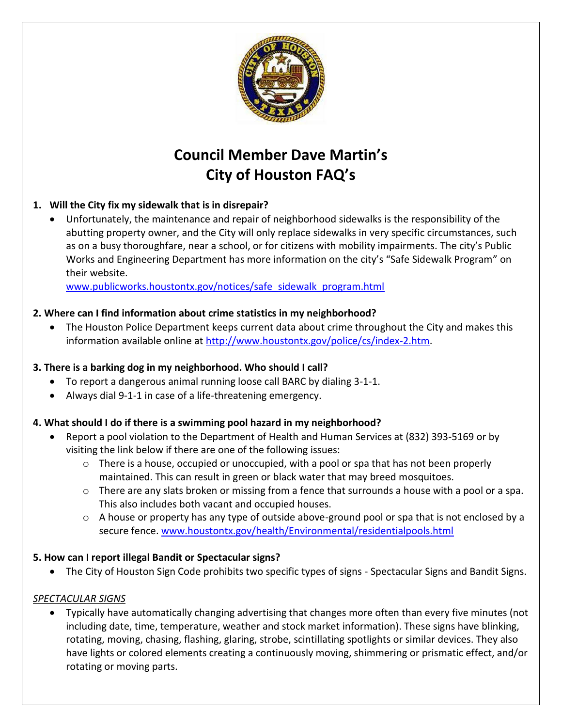

# **Council Member Dave Martin's City of Houston FAQ's**

# **1. Will the City fix my sidewalk that is in disrepair?**

 Unfortunately, the maintenance and repair of neighborhood sidewalks is the responsibility of the abutting property owner, and the City will only replace sidewalks in very specific circumstances, such as on a busy thoroughfare, near a school, or for citizens with mobility impairments. The city's Public Works and Engineering Department has more information on the city's "Safe Sidewalk Program" on their website.

[www.publicworks.houstontx.gov/notices/safe\\_sidewalk\\_program.html](http://www.publicworks.houstontx.gov/notices/safe_sidewalk_program.html)

# **2. Where can I find information about crime statistics in my neighborhood?**

 The Houston Police Department keeps current data about crime throughout the City and makes this information available online at [http://www.houstontx.gov/police/cs/index-2.htm.](https://www.houstontx.gov/police/cs/index-2.htm)

# **3. There is a barking dog in my neighborhood. Who should I call?**

- To report a dangerous animal running loose call BARC by dialing 3-1-1.
- Always dial 9-1-1 in case of a life-threatening emergency.

# **4. What should I do if there is a swimming pool hazard in my neighborhood?**

- Report a pool violation to the Department of Health and Human Services at (832) 393-5169 or by visiting the link below if there are one of the following issues:
	- $\circ$  There is a house, occupied or unoccupied, with a pool or spa that has not been properly maintained. This can result in green or black water that may breed mosquitoes.
	- $\circ$  There are any slats broken or missing from a fence that surrounds a house with a pool or a spa. This also includes both vacant and occupied houses.
	- $\circ$  A house or property has any type of outside above-ground pool or spa that is not enclosed by a secure fence[. www.houstontx.gov/health/Environmental/residentialpools.html](https://www.houstontx.gov/health/Environmental/residentialpools.html)

# **5. How can I report illegal Bandit or Spectacular signs?**

The City of Houston Sign Code prohibits two specific types of signs - Spectacular Signs and Bandit Signs.

#### *SPECTACULAR SIGNS*

 Typically have automatically changing advertising that changes more often than every five minutes (not including date, time, temperature, weather and stock market information). These signs have blinking, rotating, moving, chasing, flashing, glaring, strobe, scintillating spotlights or similar devices. They also have lights or colored elements creating a continuously moving, shimmering or prismatic effect, and/or rotating or moving parts.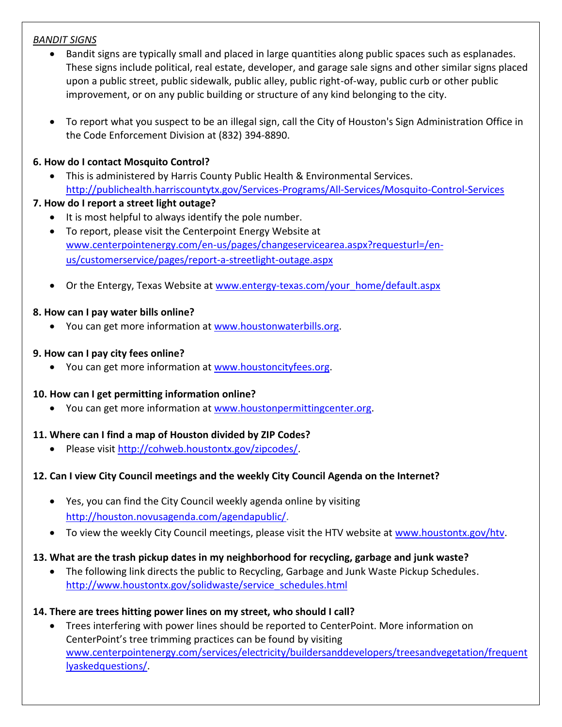### *BANDIT SIGNS*

- Bandit signs are typically small and placed in large quantities along public spaces such as esplanades. These signs include political, real estate, developer, and garage sale signs and other similar signs placed upon a public street, public sidewalk, public alley, public right-of-way, public curb or other public improvement, or on any public building or structure of any kind belonging to the city.
- To report what you suspect to be an illegal sign, call the City of Houston's Sign Administration Office in the Code Enforcement Division at (832) 394-8890.

# **6. How do I contact Mosquito Control?**

 This is administered by Harris County Public Health & Environmental Services. <http://publichealth.harriscountytx.gov/Services-Programs/All-Services/Mosquito-Control-Services>

## **7. How do I report a street light outage?**

- It is most helpful to always identify the pole number.
- To report, please visit the Centerpoint Energy Website at [www.centerpointenergy.com/en-us/pages/changeservicearea.aspx?requesturl=/en](http://www.centerpointenergy.com/en-us/pages/changeservicearea.aspx?requesturl=/en-us/customerservice/pages/report-a-streetlight-outage.aspx)[us/customerservice/pages/report-a-streetlight-outage.aspx](http://www.centerpointenergy.com/en-us/pages/changeservicearea.aspx?requesturl=/en-us/customerservice/pages/report-a-streetlight-outage.aspx)
- Or the Entergy, Texas Website a[t www.entergy-texas.com/your\\_home/default.aspx](http://www.entergy-texas.com/your_home/default.aspx)

## **8. How can I pay water bills online?**

You can get more information at [www.houstonwaterbills.org.](http://www.houstonwaterbills.org/)

#### **9. How can I pay city fees online?**

• You can get more information at [www.houstoncityfees.org.](http://www.houstoncityfees.org/)

#### **10. How can I get permitting information online?**

• You can get more information at [www.houstonpermittingcenter.org.](http://www.houstonpermittingcenter.org/)

# **11. Where can I find a map of Houston divided by ZIP Codes?**

Please visit [http://cohweb.houstontx.gov/zipcodes/.](http://cohweb.houstontx.gov/zipcodes/)

# **12. Can I view City Council meetings and the weekly City Council Agenda on the Internet?**

- Yes, you can find the City Council weekly agenda online by visiting [http://houston.novusagenda.com/agendapublic/.](http://houston.novusagenda.com/agendapublic/)
- To view the weekly City Council meetings, please visit the HTV website at [www.houstontx.gov/htv.](https://www.houstontx.gov/htv)

# **13. What are the trash pickup dates in my neighborhood for recycling, garbage and junk waste?**

 The following link directs the public to Recycling, Garbage and Junk Waste Pickup Schedules. [http://www.houstontx.gov/solidwaste/service\\_schedules.html](https://www.houstontx.gov/solidwaste/service_schedules.html)

# **14. There are trees hitting power lines on my street, who should I call?**

 Trees interfering with power lines should be reported to CenterPoint. More information on CenterPoint's tree trimming practices can be found by visiting [www.centerpointenergy.com/services/electricity/buildersanddevelopers/treesandvegetation/frequent](http://www.centerpointenergy.com/services/electricity/buildersanddevelopers/treesandvegetation/frequentlyaskedquestions/) [lyaskedquestions/.](http://www.centerpointenergy.com/services/electricity/buildersanddevelopers/treesandvegetation/frequentlyaskedquestions/)